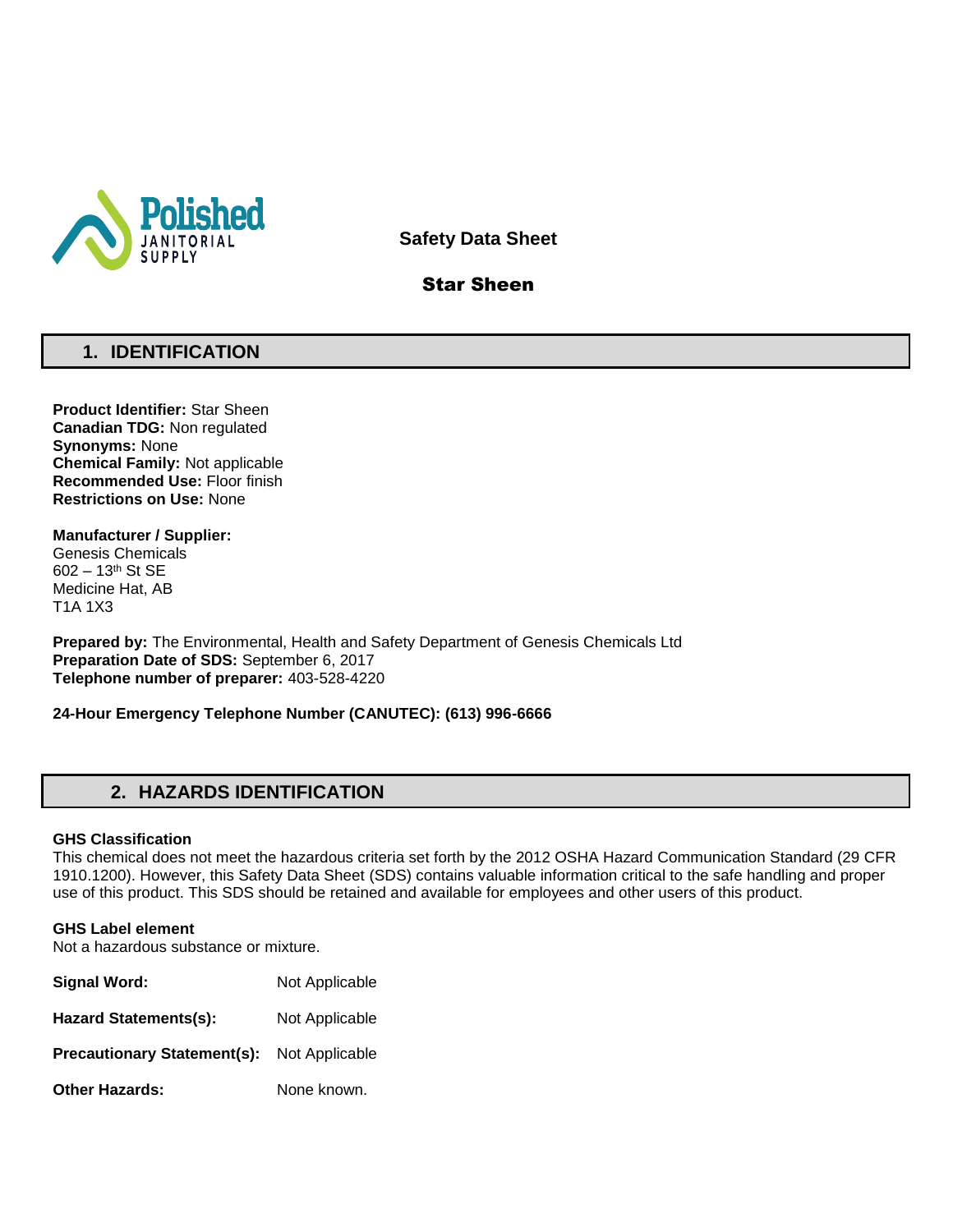

**Safety Data Sheet**

# Star Sheen

# **1. IDENTIFICATION**

**Product Identifier:** Star Sheen **Canadian TDG:** Non regulated **Synonyms:** None **Chemical Family:** Not applicable **Recommended Use:** Floor finish **Restrictions on Use:** None

**Manufacturer / Supplier:** Genesis Chemicals 602 – 13th St SE Medicine Hat, AB T1A 1X3

**Prepared by:** The Environmental, Health and Safety Department of Genesis Chemicals Ltd **Preparation Date of SDS:** September 6, 2017 **Telephone number of preparer:** 403-528-4220

**24-Hour Emergency Telephone Number (CANUTEC): (613) 996-6666**

# **2. HAZARDS IDENTIFICATION**

### **GHS Classification**

This chemical does not meet the hazardous criteria set forth by the 2012 OSHA Hazard Communication Standard (29 CFR 1910.1200). However, this Safety Data Sheet (SDS) contains valuable information critical to the safe handling and proper use of this product. This SDS should be retained and available for employees and other users of this product.

### **GHS Label element**

Not a hazardous substance or mixture.

| Signal Word:                       | Not Applicable |
|------------------------------------|----------------|
| <b>Hazard Statements(s):</b>       | Not Applicable |
| <b>Precautionary Statement(s):</b> | Not Applicable |
| <b>Other Hazards:</b>              | None known.    |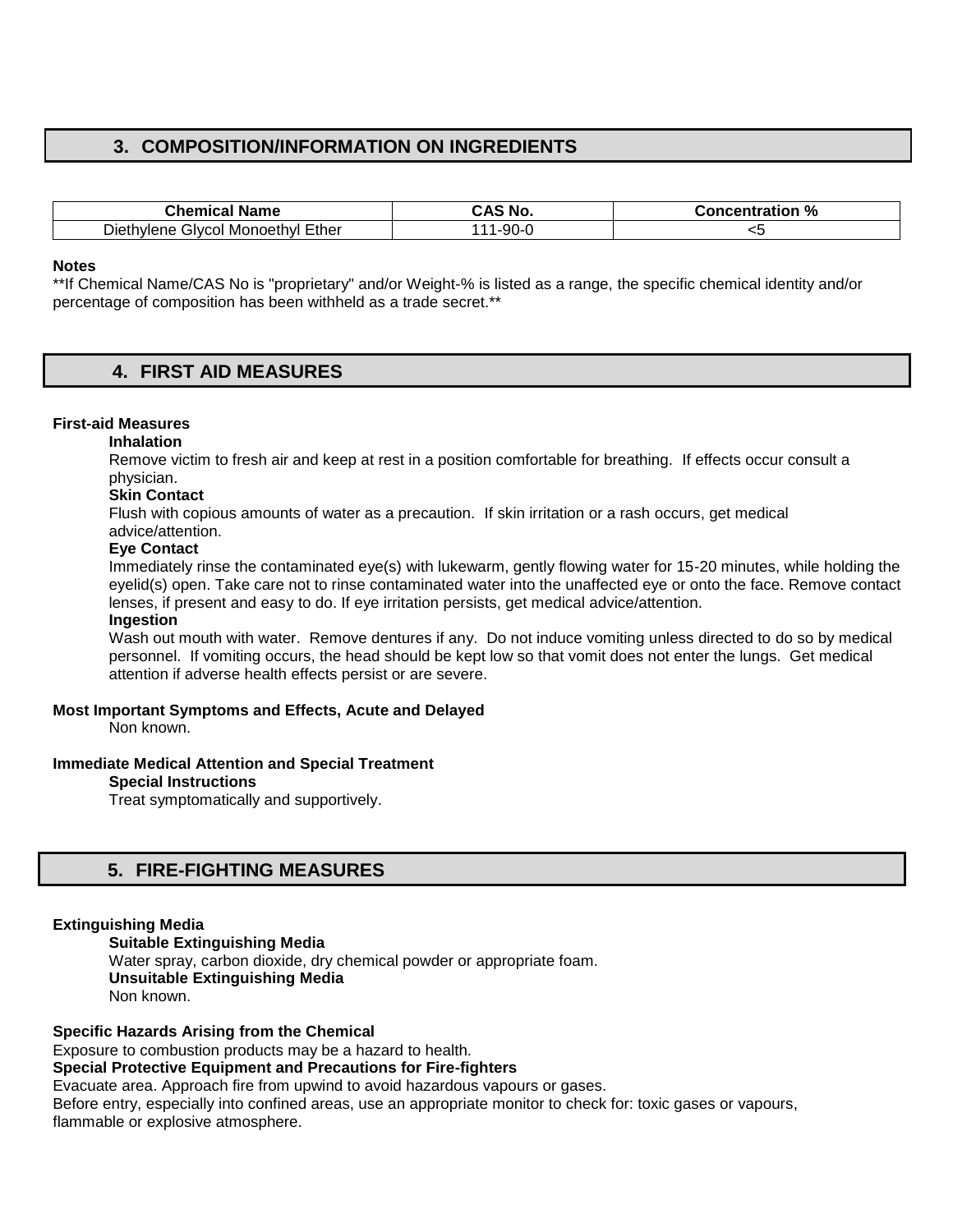# **3. COMPOSITION/INFORMATION ON INGREDIENTS**

| <b>Chemical Name</b>              | ∹ Nω. | <b>Concentration %</b> |
|-----------------------------------|-------|------------------------|
| Diethylene Glycol Monoethyl Ether | -90-0 | ∼                      |

#### **Notes**

\*\*If Chemical Name/CAS No is "proprietary" and/or Weight-% is listed as a range, the specific chemical identity and/or percentage of composition has been withheld as a trade secret.\*\*

### **4. FIRST AID MEASURES**

#### **First-aid Measures**

**Inhalation** 

Remove victim to fresh air and keep at rest in a position comfortable for breathing. If effects occur consult a physician.

### **Skin Contact**

Flush with copious amounts of water as a precaution. If skin irritation or a rash occurs, get medical advice/attention.

#### **Eye Contact**

Immediately rinse the contaminated eye(s) with lukewarm, gently flowing water for 15-20 minutes, while holding the eyelid(s) open. Take care not to rinse contaminated water into the unaffected eye or onto the face. Remove contact lenses, if present and easy to do. If eye irritation persists, get medical advice/attention.

#### **Ingestion**

Wash out mouth with water. Remove dentures if any. Do not induce vomiting unless directed to do so by medical personnel. If vomiting occurs, the head should be kept low so that vomit does not enter the lungs. Get medical attention if adverse health effects persist or are severe.

#### **Most Important Symptoms and Effects, Acute and Delayed**

Non known.

#### **Immediate Medical Attention and Special Treatment**

#### **Special Instructions**

Treat symptomatically and supportively.

### **5. FIRE-FIGHTING MEASURES**

### **Extinguishing Media**

**Suitable Extinguishing Media** Water spray, carbon dioxide, dry chemical powder or appropriate foam. **Unsuitable Extinguishing Media**  Non known.

**Specific Hazards Arising from the Chemical**  Exposure to combustion products may be a hazard to health. **Special Protective Equipment and Precautions for Fire-fighters**  Evacuate area. Approach fire from upwind to avoid hazardous vapours or gases. Before entry, especially into confined areas, use an appropriate monitor to check for: toxic gases or vapours, flammable or explosive atmosphere.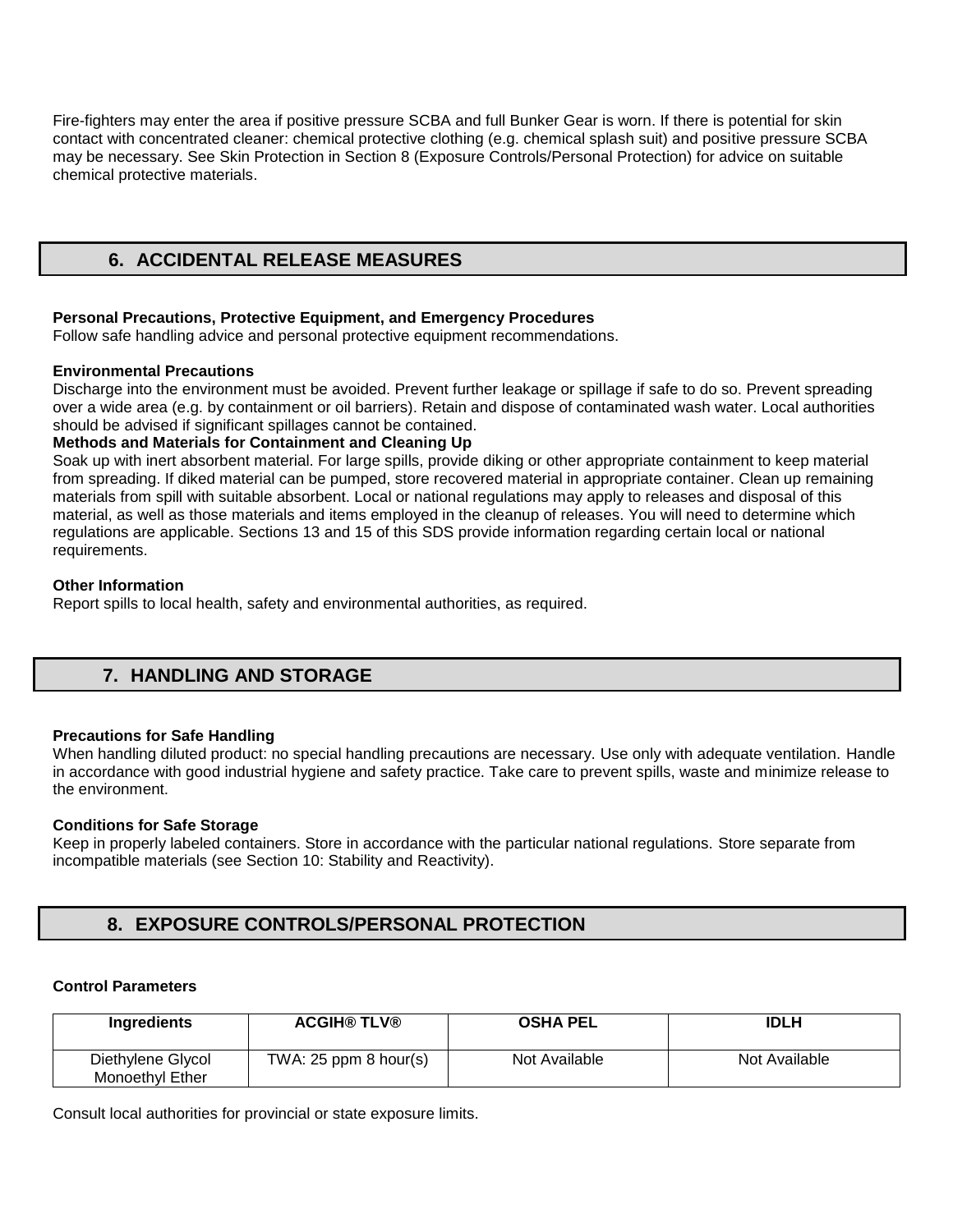Fire-fighters may enter the area if positive pressure SCBA and full Bunker Gear is worn. If there is potential for skin contact with concentrated cleaner: chemical protective clothing (e.g. chemical splash suit) and positive pressure SCBA may be necessary. See Skin Protection in Section 8 (Exposure Controls/Personal Protection) for advice on suitable chemical protective materials.

# **6. ACCIDENTAL RELEASE MEASURES**

### **Personal Precautions, Protective Equipment, and Emergency Procedures**

Follow safe handling advice and personal protective equipment recommendations.

### **Environmental Precautions**

Discharge into the environment must be avoided. Prevent further leakage or spillage if safe to do so. Prevent spreading over a wide area (e.g. by containment or oil barriers). Retain and dispose of contaminated wash water. Local authorities should be advised if significant spillages cannot be contained.

### **Methods and Materials for Containment and Cleaning Up**

Soak up with inert absorbent material. For large spills, provide diking or other appropriate containment to keep material from spreading. If diked material can be pumped, store recovered material in appropriate container. Clean up remaining materials from spill with suitable absorbent. Local or national regulations may apply to releases and disposal of this material, as well as those materials and items employed in the cleanup of releases. You will need to determine which regulations are applicable. Sections 13 and 15 of this SDS provide information regarding certain local or national requirements.

### **Other Information**

Report spills to local health, safety and environmental authorities, as required.

# **7. HANDLING AND STORAGE**

### **Precautions for Safe Handling**

When handling diluted product: no special handling precautions are necessary. Use only with adequate ventilation. Handle in accordance with good industrial hygiene and safety practice. Take care to prevent spills, waste and minimize release to the environment.

### **Conditions for Safe Storage**

Keep in properly labeled containers. Store in accordance with the particular national regulations. Store separate from incompatible materials (see Section 10: Stability and Reactivity).

# **8. EXPOSURE CONTROLS/PERSONAL PROTECTION**

### **Control Parameters**

| <b>Ingredients</b>                   | <b>ACGIH® TLV®</b>        | <b>OSHA PEL</b> | <b>IDLH</b>   |
|--------------------------------------|---------------------------|-----------------|---------------|
| Diethylene Glycol<br>Monoethyl Ether | TWA: $25$ ppm $8$ hour(s) | Not Available   | Not Available |

Consult local authorities for provincial or state exposure limits.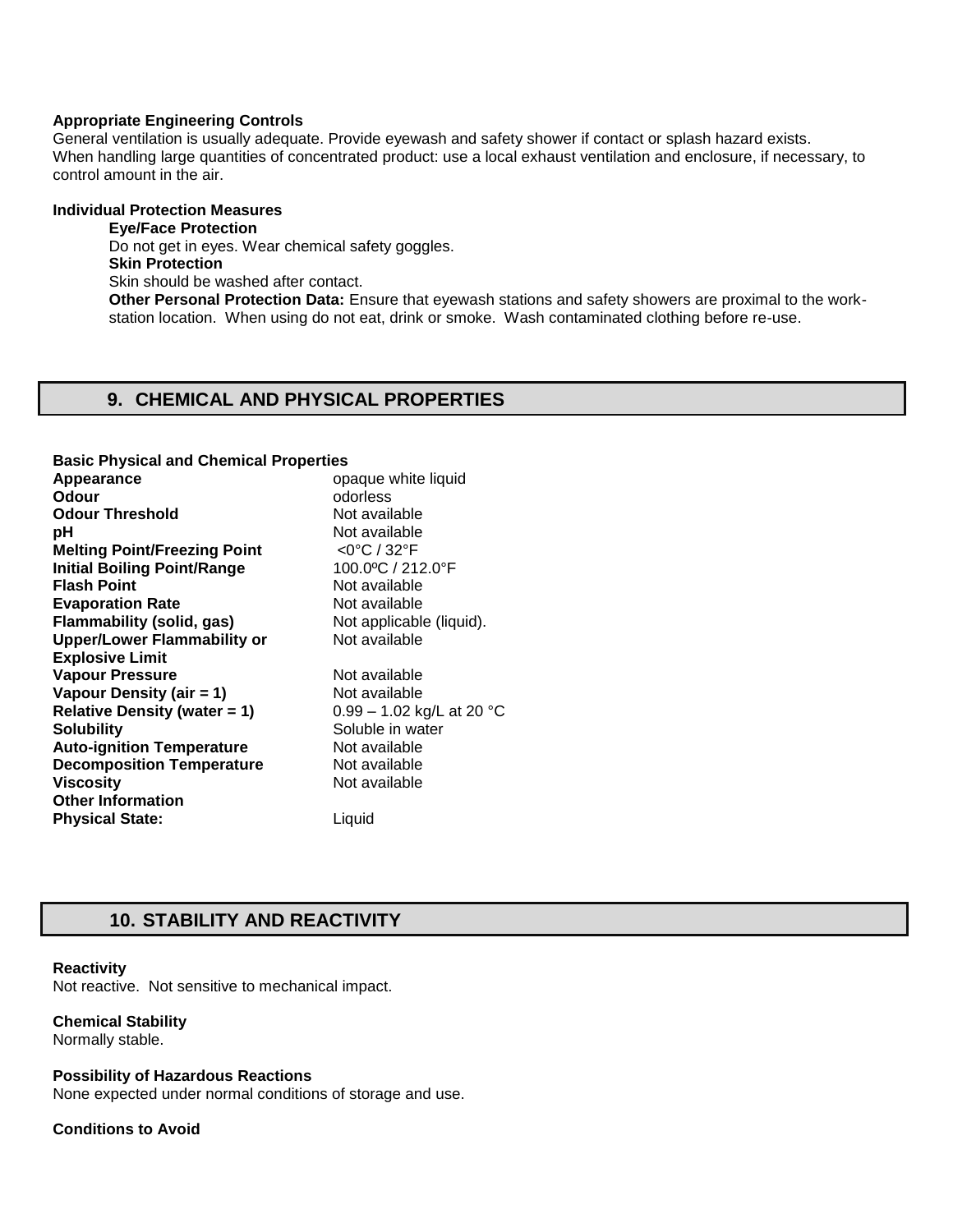### **Appropriate Engineering Controls**

General ventilation is usually adequate. Provide eyewash and safety shower if contact or splash hazard exists. When handling large quantities of concentrated product: use a local exhaust ventilation and enclosure, if necessary, to control amount in the air.

### **Individual Protection Measures**

**Eye/Face Protection**  Do not get in eyes. Wear chemical safety goggles. **Skin Protection**  Skin should be washed after contact. **Other Personal Protection Data:** Ensure that eyewash stations and safety showers are proximal to the workstation location. When using do not eat, drink or smoke. Wash contaminated clothing before re-use.

### **9. CHEMICAL AND PHYSICAL PROPERTIES**

| <b>Basic Physical and Chemical Properties</b> |                             |
|-----------------------------------------------|-----------------------------|
| Appearance                                    | opaque white liquid         |
| Odour                                         | odorless                    |
| <b>Odour Threshold</b>                        | Not available               |
| рH                                            | Not available               |
| <b>Melting Point/Freezing Point</b>           | $<$ 0°C / 32°F              |
| <b>Initial Boiling Point/Range</b>            | 100.0°C / 212.0°F           |
| <b>Flash Point</b>                            | Not available               |
| <b>Evaporation Rate</b>                       | Not available               |
| <b>Flammability (solid, gas)</b>              | Not applicable (liquid).    |
| <b>Upper/Lower Flammability or</b>            | Not available               |
| <b>Explosive Limit</b>                        |                             |
| <b>Vapour Pressure</b>                        | Not available               |
| Vapour Density (air = 1)                      | Not available               |
| <b>Relative Density (water = 1)</b>           | $0.99 - 1.02$ kg/L at 20 °C |
| <b>Solubility</b>                             | Soluble in water            |
| <b>Auto-ignition Temperature</b>              | Not available               |
| <b>Decomposition Temperature</b>              | Not available               |
| <b>Viscosity</b>                              | Not available               |
| <b>Other Information</b>                      |                             |
| <b>Physical State:</b>                        | Liquid                      |

# **10. STABILITY AND REACTIVITY**

#### **Reactivity**

Not reactive. Not sensitive to mechanical impact.

### **Chemical Stability**

Normally stable.

### **Possibility of Hazardous Reactions**

None expected under normal conditions of storage and use.

### **Conditions to Avoid**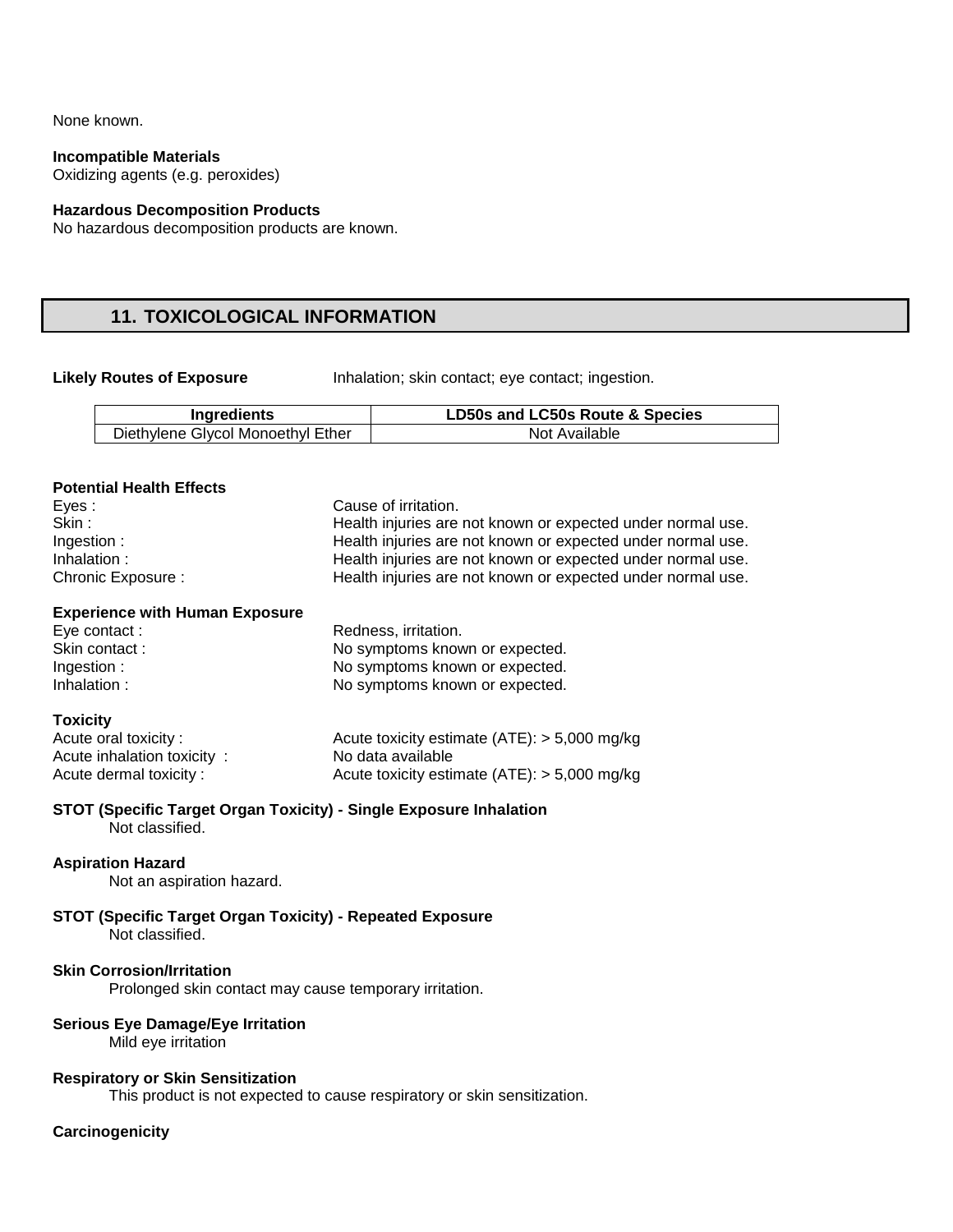None known.

**Incompatible Materials** 

Oxidizing agents (e.g. peroxides)

### **Hazardous Decomposition Products**

No hazardous decomposition products are known.

# **11. TOXICOLOGICAL INFORMATION**

**Likely Routes of Exposure** Inhalation; skin contact; eye contact; ingestion.

| Ingredients                       | LD50s and LC50s Route & Species |
|-----------------------------------|---------------------------------|
| Diethylene Glycol Monoethyl Ether | Not Available                   |

### **Potential Health Effects**

| Eyes :             | Cause of irritation.                                        |
|--------------------|-------------------------------------------------------------|
| Skin:              | Health injuries are not known or expected under normal use. |
| Ingestion :        | Health injuries are not known or expected under normal use. |
| Inhalation :       | Health injuries are not known or expected under normal use. |
| Chronic Exposure : | Health injuries are not known or expected under normal use. |

# **Experience with Human Exposure**

Eye contact : Redness, irritation. Skin contact : No symptoms known or expected.<br>
Ingestion : No symptoms known or expected. Ingestion : No symptoms known or expected.<br>
Inhalation : No symptoms known or expected. No symptoms known or expected.

### **Toxicity**

| Acute oral toxicity:       | Acute toxicity estimate $(ATE)$ : > 5,000 mg/kg |
|----------------------------|-------------------------------------------------|
| Acute inhalation toxicity: | No data available                               |
| Acute dermal toxicity:     | Acute toxicity estimate $(ATE)$ : > 5,000 mg/kg |

### **STOT (Specific Target Organ Toxicity) - Single Exposure Inhalation**

Not classified.

### **Aspiration Hazard**

Not an aspiration hazard.

# **STOT (Specific Target Organ Toxicity) - Repeated Exposure**

Not classified.

### **Skin Corrosion/Irritation**

Prolonged skin contact may cause temporary irritation.

### **Serious Eye Damage/Eye Irritation**

Mild eye irritation

### **Respiratory or Skin Sensitization**

This product is not expected to cause respiratory or skin sensitization.

### **Carcinogenicity**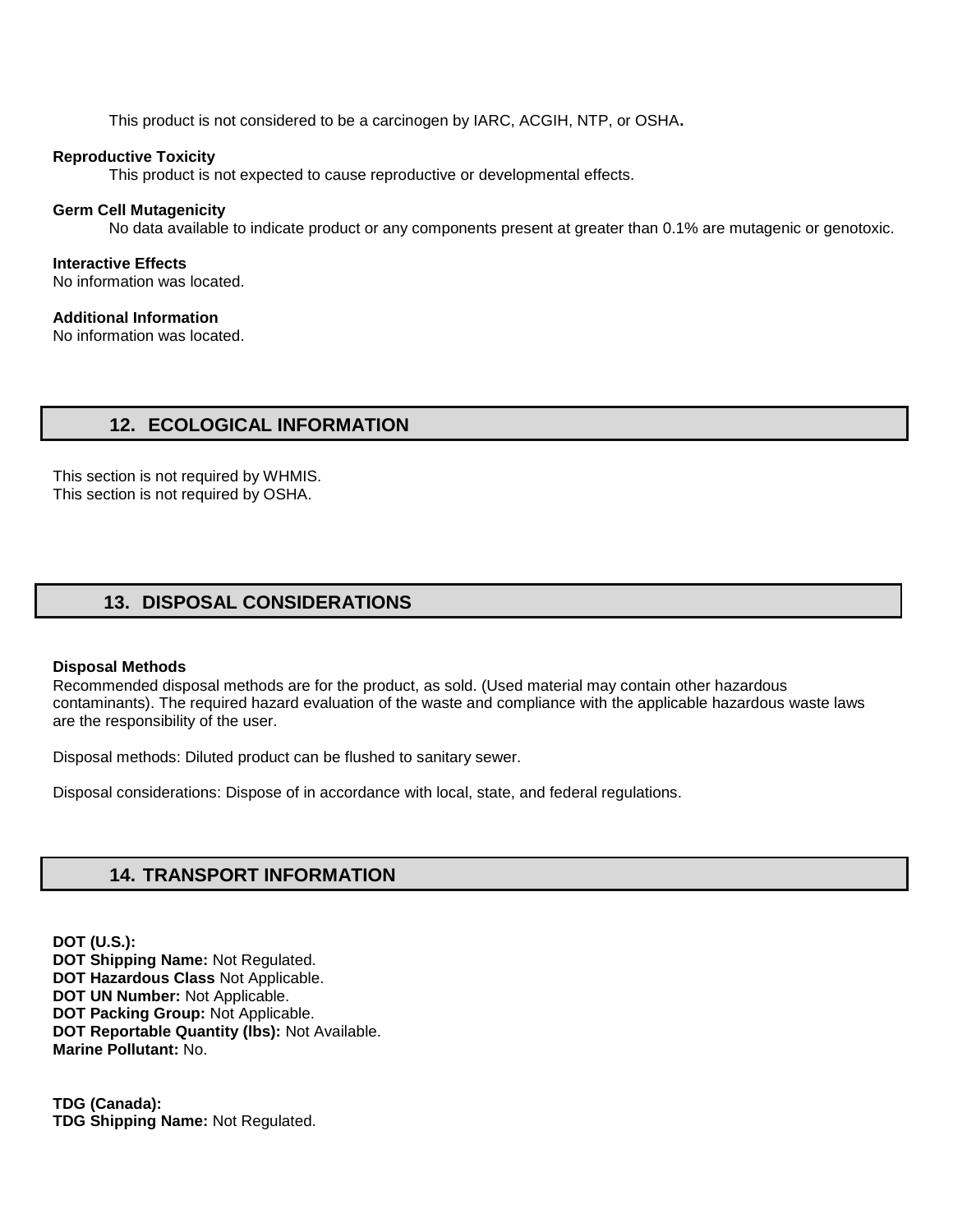This product is not considered to be a carcinogen by IARC, ACGIH, NTP, or OSHA**.** 

### **Reproductive Toxicity**

This product is not expected to cause reproductive or developmental effects.

#### **Germ Cell Mutagenicity**

No data available to indicate product or any components present at greater than 0.1% are mutagenic or genotoxic.

**Interactive Effects**  No information was located.

### **Additional Information**

No information was located.

### **12. ECOLOGICAL INFORMATION**

This section is not required by WHMIS. This section is not required by OSHA.

# **13. DISPOSAL CONSIDERATIONS**

#### **Disposal Methods**

Recommended disposal methods are for the product, as sold. (Used material may contain other hazardous contaminants). The required hazard evaluation of the waste and compliance with the applicable hazardous waste laws are the responsibility of the user.

Disposal methods: Diluted product can be flushed to sanitary sewer.

Disposal considerations: Dispose of in accordance with local, state, and federal regulations.

### **14. TRANSPORT INFORMATION**

**DOT (U.S.): DOT Shipping Name:** Not Regulated. **DOT Hazardous Class** Not Applicable. **DOT UN Number:** Not Applicable. **DOT Packing Group:** Not Applicable. **DOT Reportable Quantity (lbs):** Not Available. **Marine Pollutant:** No.

**TDG (Canada): TDG Shipping Name:** Not Regulated.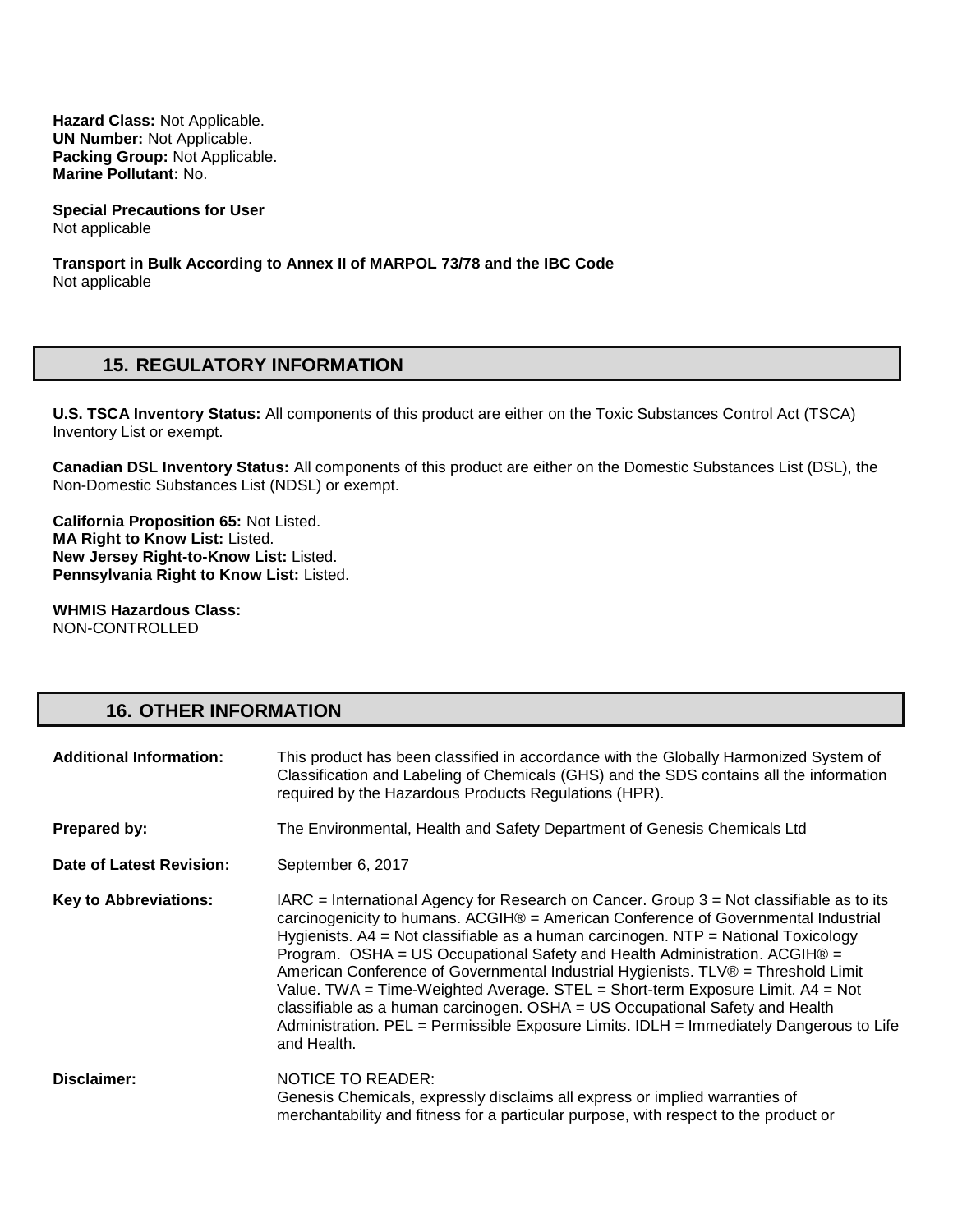**Hazard Class:** Not Applicable. **UN Number:** Not Applicable. **Packing Group:** Not Applicable. **Marine Pollutant:** No.

**Special Precautions for User** Not applicable

**Transport in Bulk According to Annex II of MARPOL 73/78 and the IBC Code**  Not applicable

# **15. REGULATORY INFORMATION**

**U.S. TSCA Inventory Status:** All components of this product are either on the Toxic Substances Control Act (TSCA) Inventory List or exempt.

**Canadian DSL Inventory Status:** All components of this product are either on the Domestic Substances List (DSL), the Non-Domestic Substances List (NDSL) or exempt.

**California Proposition 65:** Not Listed. **MA Right to Know List:** Listed. **New Jersey Right-to-Know List:** Listed. **Pennsylvania Right to Know List:** Listed.

**WHMIS Hazardous Class:** NON-CONTROLLED

# **16. OTHER INFORMATION**

| <b>Additional Information:</b> | This product has been classified in accordance with the Globally Harmonized System of<br>Classification and Labeling of Chemicals (GHS) and the SDS contains all the information<br>required by the Hazardous Products Regulations (HPR).                                                                                                                                                                                                                                                                                                                                                                                                                                                                               |
|--------------------------------|-------------------------------------------------------------------------------------------------------------------------------------------------------------------------------------------------------------------------------------------------------------------------------------------------------------------------------------------------------------------------------------------------------------------------------------------------------------------------------------------------------------------------------------------------------------------------------------------------------------------------------------------------------------------------------------------------------------------------|
| Prepared by:                   | The Environmental, Health and Safety Department of Genesis Chemicals Ltd                                                                                                                                                                                                                                                                                                                                                                                                                                                                                                                                                                                                                                                |
| Date of Latest Revision:       | September 6, 2017                                                                                                                                                                                                                                                                                                                                                                                                                                                                                                                                                                                                                                                                                                       |
| <b>Key to Abbreviations:</b>   | $IARC = International Agency for Research on Cancer. Group 3 = Not classified as to its$<br>carcinogenicity to humans. ACGIH® = American Conference of Governmental Industrial<br>Hygienists. $A4 = Not$ classifiable as a human carcinogen. NTP = National Toxicology<br>Program. OSHA = US Occupational Safety and Health Administration. ACGIH® =<br>American Conference of Governmental Industrial Hygienists. TLV® = Threshold Limit<br>Value. TWA = Time-Weighted Average. STEL = Short-term Exposure Limit. $AA = Not$<br>classifiable as a human carcinogen. OSHA = US Occupational Safety and Health<br>Administration. PEL = Permissible Exposure Limits. IDLH = Immediately Dangerous to Life<br>and Health. |
| Disclaimer:                    | <b>NOTICE TO READER:</b><br>Genesis Chemicals, expressly disclaims all express or implied warranties of<br>merchantability and fitness for a particular purpose, with respect to the product or                                                                                                                                                                                                                                                                                                                                                                                                                                                                                                                         |